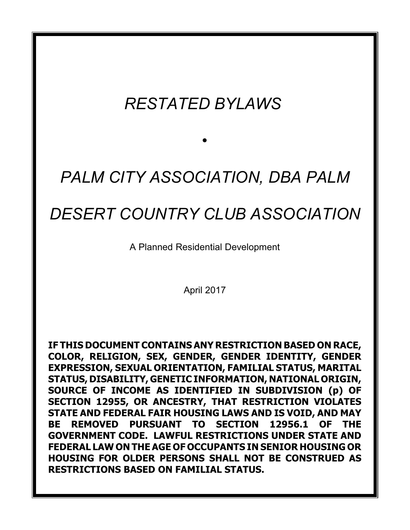# *RESTATED BYLAWS*

# *PALM CITY ASSOCIATION, DBA PALM*

*•*

## *DESERT COUNTRY CLUB ASSOCIATION*

A Planned Residential Development

April 2017

**IF THIS DOCUMENT CONTAINS ANY RESTRICTION BASED ON RACE, COLOR, RELIGION, SEX, GENDER, GENDER IDENTITY, GENDER EXPRESSION, SEXUAL ORIENTATION, FAMILIAL STATUS, MARITAL STATUS, DISABILITY, GENETIC INFORMATION, NATIONAL ORIGIN, SOURCE OF INCOME AS IDENTIFIED IN SUBDIVISION (p) OF SECTION 12955, OR ANCESTRY, THAT RESTRICTION VIOLATES STATE AND FEDERAL FAIR HOUSING LAWS AND IS VOID, AND MAY BE REMOVED PURSUANT TO SECTION 12956.1 OF THE GOVERNMENT CODE. LAWFUL RESTRICTIONS UNDER STATE AND FEDERAL LAW ON THE AGE OF OCCUPANTS IN SENIOR HOUSING OR HOUSING FOR OLDER PERSONS SHALL NOT BE CONSTRUED AS RESTRICTIONS BASED ON FAMILIAL STATUS.**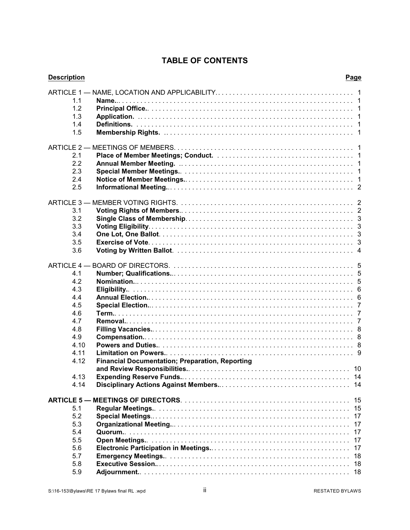### **TABLE OF CONTENTS**

| <b>Description</b> |                                                        | Page |
|--------------------|--------------------------------------------------------|------|
|                    |                                                        |      |
| 1.1                |                                                        |      |
| 1.2                |                                                        |      |
| 1.3                |                                                        |      |
| 1.4                |                                                        |      |
| 1.5                |                                                        |      |
|                    |                                                        |      |
| 2.1                |                                                        |      |
| 2.2                |                                                        |      |
| 2.3                |                                                        |      |
| 2.4                |                                                        |      |
| 2.5                |                                                        |      |
|                    |                                                        |      |
| 3.1                |                                                        |      |
| 3.2                |                                                        |      |
| 3.3                |                                                        |      |
| 3.4                |                                                        |      |
| 3.5                |                                                        |      |
| 3.6                |                                                        |      |
|                    |                                                        |      |
| 4.1                |                                                        |      |
| 4.2                |                                                        |      |
| 4.3                |                                                        |      |
| 4.4                |                                                        |      |
| 4.5                |                                                        |      |
| 4.6                |                                                        |      |
| 4.7                |                                                        |      |
| 4.8                |                                                        |      |
| 4.9                |                                                        |      |
| 4.10               |                                                        |      |
| 4.11               |                                                        |      |
| 4.12               | <b>Financial Documentation; Preparation, Reporting</b> |      |
|                    |                                                        |      |
| 4.13               |                                                        | -14  |
| 4.14               |                                                        |      |
|                    |                                                        | 15   |
| 5.1                |                                                        | 15   |
| 5.2                |                                                        | 17   |
| 5.3                |                                                        | 17   |
| 5.4                |                                                        | 17   |
| 5.5                |                                                        | 17   |
| 5.6                |                                                        | 17   |
| 5.7                |                                                        | 18   |
| 5.8                |                                                        | 18   |
| 5.9                |                                                        |      |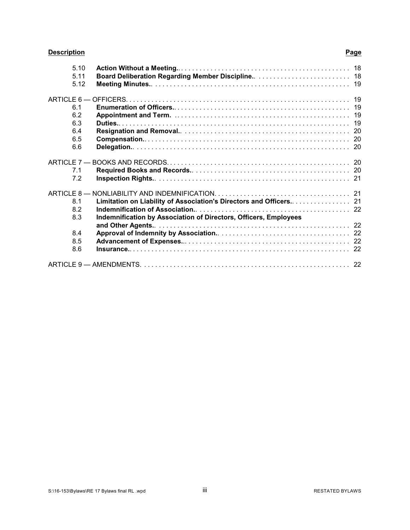### **Description Page**

| 5.10 |                                                                  |  |
|------|------------------------------------------------------------------|--|
| 5.11 |                                                                  |  |
| 5.12 |                                                                  |  |
|      |                                                                  |  |
| 6.1  |                                                                  |  |
| 6.2  |                                                                  |  |
| 6.3  |                                                                  |  |
| 6.4  |                                                                  |  |
| 6.5  |                                                                  |  |
| 6.6  |                                                                  |  |
|      |                                                                  |  |
| 7.1  |                                                                  |  |
| 7.2  |                                                                  |  |
|      |                                                                  |  |
| 8.1  |                                                                  |  |
| 8.2  |                                                                  |  |
| 8.3  | Indemnification by Association of Directors, Officers, Employees |  |
|      |                                                                  |  |
| 8.4  |                                                                  |  |
| 8.5  |                                                                  |  |
| 8.6  |                                                                  |  |
|      |                                                                  |  |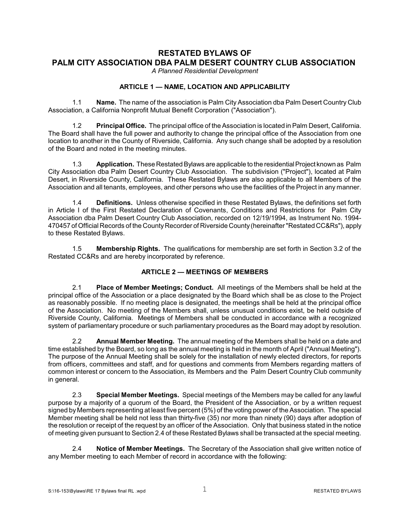### **RESTATED BYLAWS OF PALM CITY ASSOCIATION DBA PALM DESERT COUNTRY CLUB ASSOCIATION**

*A Planned Residential Development*

#### **ARTICLE 1 — NAME, LOCATION AND APPLICABILITY**

1.1 **Name.** The name of the association is Palm City Association dba Palm Desert Country Club Association, a California Nonprofit Mutual Benefit Corporation ("Association").

1.2 **Principal Office.** The principal office of the Association is located in Palm Desert, California. The Board shall have the full power and authority to change the principal office of the Association from one location to another in the County of Riverside, California. Any such change shall be adopted by a resolution of the Board and noted in the meeting minutes.

1.3 **Application.** These Restated Bylaws are applicable to the residential Project known as Palm City Association dba Palm Desert Country Club Association. The subdivision ("Project"), located at Palm Desert, in Riverside County, California. These Restated Bylaws are also applicable to all Members of the Association and all tenants, employees, and other persons who use the facilities of the Project in any manner.

1.4 **Definitions.** Unless otherwise specified in these Restated Bylaws, the definitions set forth in Article I of the First Restated Declaration of Covenants, Conditions and Restrictions for Palm City Association dba Palm Desert Country Club Association, recorded on 12/19/1994, as Instrument No. 1994- 470457 of Official Records of the County Recorder of Riverside County (hereinafter "Restated CC&Rs"), apply to these Restated Bylaws.

1.5 **Membership Rights.** The qualifications for membership are set forth in Section 3.2 of the Restated CC&Rs and are hereby incorporated by reference.

#### **ARTICLE 2 — MEETINGS OF MEMBERS**

2.1 **Place of Member Meetings; Conduct.** All meetings of the Members shall be held at the principal office of the Association or a place designated by the Board which shall be as close to the Project as reasonably possible. If no meeting place is designated, the meetings shall be held at the principal office of the Association. No meeting of the Members shall, unless unusual conditions exist, be held outside of Riverside County, California. Meetings of Members shall be conducted in accordance with a recognized system of parliamentary procedure or such parliamentary procedures as the Board may adopt by resolution.

2.2 **Annual Member Meeting.** The annual meeting of the Members shall be held on a date and time established by the Board, so long as the annual meeting is held in the month of April ("Annual Meeting"). The purpose of the Annual Meeting shall be solely for the installation of newly elected directors, for reports from officers, committees and staff, and for questions and comments from Members regarding matters of common interest or concern to the Association, its Members and the Palm Desert Country Club community in general.

2.3 **Special Member Meetings.** Special meetings of the Members may be called for any lawful purpose by a majority of a quorum of the Board, the President of the Association, or by a written request signed by Members representing at least five percent (5%) of the voting power of the Association. The special Member meeting shall be held not less than thirty-five (35) nor more than ninety (90) days after adoption of the resolution or receipt of the request by an officer of the Association. Only that business stated in the notice of meeting given pursuant to Section 2.4 of these Restated Bylaws shall be transacted at the special meeting.

2.4 **Notice of Member Meetings.** The Secretary of the Association shall give written notice of any Member meeting to each Member of record in accordance with the following: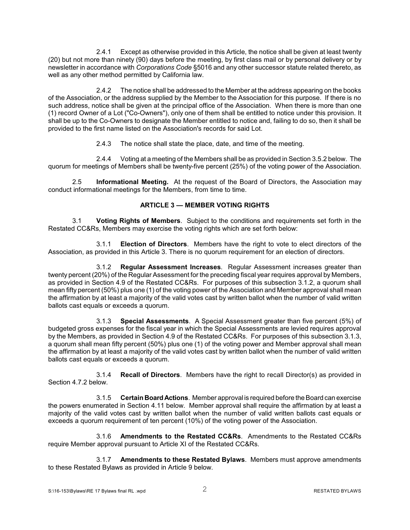2.4.1 Except as otherwise provided in this Article, the notice shall be given at least twenty (20) but not more than ninety (90) days before the meeting, by first class mail or by personal delivery or by newsletter in accordance with *Corporations Code* §5016 and any other successor statute related thereto, as well as any other method permitted by California law.

2.4.2 The notice shall be addressed to the Member at the address appearing on the books of the Association, or the address supplied by the Member to the Association for this purpose. If there is no such address, notice shall be given at the principal office of the Association. When there is more than one (1) record Owner of a Lot ("Co-Owners"), only one of them shall be entitled to notice under this provision. It shall be up to the Co-Owners to designate the Member entitled to notice and, failing to do so, then it shall be provided to the first name listed on the Association's records for said Lot.

2.4.3 The notice shall state the place, date, and time of the meeting.

2.4.4 Voting at a meeting of the Members shall be as provided in Section 3.5.2 below. The quorum for meetings of Members shall be twenty-five percent (25%) of the voting power of the Association.

2.5 **Informational Meeting.** At the request of the Board of Directors, the Association may conduct informational meetings for the Members, from time to time.

#### **ARTICLE 3 — MEMBER VOTING RIGHTS**

3.1 **Voting Rights of Members**. Subject to the conditions and requirements set forth in the Restated CC&Rs, Members may exercise the voting rights which are set forth below:

3.1.1 **Election of Directors**. Members have the right to vote to elect directors of the Association, as provided in this Article 3. There is no quorum requirement for an election of directors.

3.1.2 **Regular Assessment Increases**. Regular Assessment increases greater than twenty percent (20%) of the Regular Assessment for the preceding fiscal year requires approval by Members, as provided in Section 4.9 of the Restated CC&Rs. For purposes of this subsection 3.1.2, a quorum shall mean fifty percent (50%) plus one (1) of the voting power of the Association and Member approval shall mean the affirmation by at least a majority of the valid votes cast by written ballot when the number of valid written ballots cast equals or exceeds a quorum.

3.1.3 **Special Assessments**. A Special Assessment greater than five percent (5%) of budgeted gross expenses for the fiscal year in which the Special Assessments are levied requires approval by the Members, as provided in Section 4.9 of the Restated CC&Rs. For purposes of this subsection 3.1.3, a quorum shall mean fifty percent (50%) plus one (1) of the voting power and Member approval shall mean the affirmation by at least a majority of the valid votes cast by written ballot when the number of valid written ballots cast equals or exceeds a quorum.

3.1.4 **Recall of Directors**. Members have the right to recall Director(s) as provided in Section 4.7.2 below.

3.1.5 **Certain Board Actions**. Member approval is required before the Board can exercise the powers enumerated in Section 4.11 below. Member approval shall require the affirmation by at least a majority of the valid votes cast by written ballot when the number of valid written ballots cast equals or exceeds a quorum requirement of ten percent (10%) of the voting power of the Association.

3.1.6 **Amendments to the Restated CC&Rs**. Amendments to the Restated CC&Rs require Member approval pursuant to Article XI of the Restated CC&Rs.

3.1.7 **Amendments to these Restated Bylaws**. Members must approve amendments to these Restated Bylaws as provided in Article 9 below.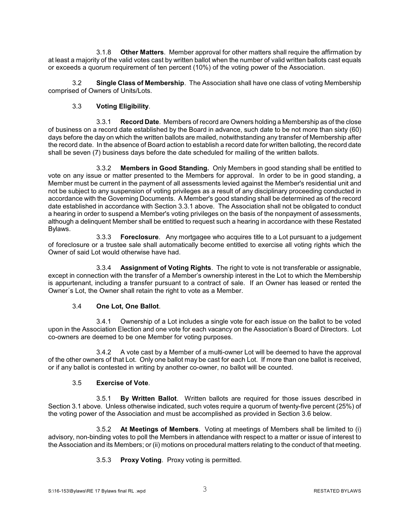3.1.8 **Other Matters**. Member approval for other matters shall require the affirmation by at least a majority of the valid votes cast by written ballot when the number of valid written ballots cast equals or exceeds a quorum requirement of ten percent (10%) of the voting power of the Association.

3.2 **Single Class of Membership**. The Association shall have one class of voting Membership comprised of Owners of Units/Lots.

#### 3.3 **Voting Eligibility**.

3.3.1 **Record Date**. Members of record are Owners holding a Membership as of the close of business on a record date established by the Board in advance, such date to be not more than sixty (60) days before the day on which the written ballots are mailed, notwithstanding any transfer of Membership after the record date. In the absence of Board action to establish a record date for written balloting, the record date shall be seven (7) business days before the date scheduled for mailing of the written ballots.

3.3.2 **Members in Good Standing.** Only Members in good standing shall be entitled to vote on any issue or matter presented to the Members for approval. In order to be in good standing, a Member must be current in the payment of all assessments levied against the Member's residential unit and not be subject to any suspension of voting privileges as a result of any disciplinary proceeding conducted in accordance with the Governing Documents. A Member's good standing shall be determined as of the record date established in accordance with Section 3.3.1 above. The Association shall not be obligated to conduct a hearing in order to suspend a Member's voting privileges on the basis of the nonpayment of assessments, although a delinquent Member shall be entitled to request such a hearing in accordance with these Restated Bylaws.

3.3.3 **Foreclosure**. Any mortgagee who acquires title to a Lot pursuant to a judgement of foreclosure or a trustee sale shall automatically become entitled to exercise all voting rights which the Owner of said Lot would otherwise have had.

3.3.4 **Assignment of Voting Rights**. The right to vote is not transferable or assignable, except in connection with the transfer of a Member's ownership interest in the Lot to which the Membership is appurtenant, including a transfer pursuant to a contract of sale. If an Owner has leased or rented the Owner's Lot, the Owner shall retain the right to vote as a Member.

#### 3.4 **One Lot, One Ballot**.

3.4.1 Ownership of a Lot includes a single vote for each issue on the ballot to be voted upon in the Association Election and one vote for each vacancy on the Association's Board of Directors. Lot co-owners are deemed to be one Member for voting purposes.

3.4.2 A vote cast by a Member of a multi-owner Lot will be deemed to have the approval of the other owners of that Lot. Only one ballot may be cast for each Lot. If more than one ballot is received, or if any ballot is contested in writing by another co-owner, no ballot will be counted.

#### 3.5 **Exercise of Vote**.

3.5.1 **By Written Ballot**. Written ballots are required for those issues described in Section 3.1 above. Unless otherwise indicated, such votes require a quorum of twenty-five percent (25%) of the voting power of the Association and must be accomplished as provided in Section 3.6 below.

3.5.2 **At Meetings of Members**. Voting at meetings of Members shall be limited to (i) advisory, non-binding votes to poll the Members in attendance with respect to a matter or issue of interest to the Association and its Members; or (ii) motions on procedural matters relating to the conduct of that meeting.

3.5.3 **Proxy Voting**. Proxy voting is permitted.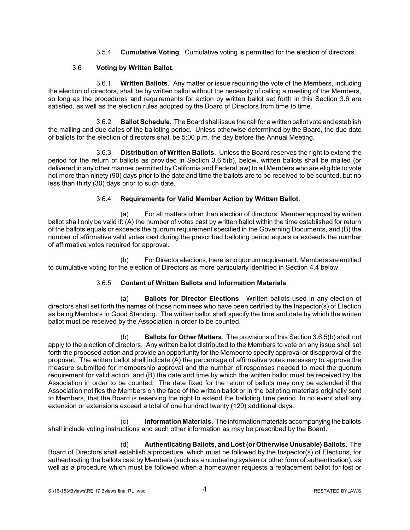3.5.4 **Cumulative Voting**. Cumulative voting is permitted for the election of directors.

#### 3.6 **Voting by Written Ballot**.

3.6.1 **Written Ballots**. Any matter or issue requiring the vote of the Members, including the election of directors, shall be by written ballot without the necessity of calling a meeting of the Members, so long as the procedures and requirements for action by written ballot set forth in this Section 3.6 are satisfied, as well as the election rules adopted by the Board of Directors from time to time.

3.6.2 **Ballot Schedule**. The Board shall issue the call for a written ballot vote and establish the mailing and due dates of the balloting period. Unless otherwise determined by the Board, the due date of ballots for the election of directors shall be 5:00 p.m. the day before the Annual Meeting.

3.6.3 **Distribution of Written Ballots**. Unless the Board reserves the right to extend the period for the return of ballots as provided in Section 3.6.5(b), below, written ballots shall be mailed (or delivered in any other manner permitted by California and Federal law) to all Members who are eligible to vote not more than ninety (90) days prior to the date and time the ballots are to be received to be counted, but no less than thirty (30) days prior to such date.

#### 3.6.4 **Requirements for Valid Member Action by Written Ballot**.

(a) For all matters other than election of directors, Member approval by written ballot shall only be valid if: (A) the number of votes cast by written ballot within the time established for return of the ballots equals or exceeds the quorum requirement specified in the Governing Documents, and (B) the number of affirmative valid votes cast during the prescribed balloting period equals or exceeds the number of affirmative votes required for approval.

(b) For Director elections, there is no quorum requirement. Members are entitled to cumulative voting for the election of Directors as more particularly identified in Section 4.4 below.

#### 3.6.5 **Content of Written Ballots and Information Materials**.

(a) **Ballots for Director Elections**. Written ballots used in any election of directors shall set forth the names of those nominees who have been certified by the Inspector(s) of Election as being Members in Good Standing. The written ballot shall specify the time and date by which the written ballot must be received by the Association in order to be counted.

(b) **Ballots for Other Matters**. The provisions of this Section 3.6.5(b) shall not apply to the election of directors. Any written ballot distributed to the Members to vote on any issue shall set forth the proposed action and provide an opportunity for the Member to specify approval or disapproval of the proposal. The written ballot shall indicate (A) the percentage of affirmative votes necessary to approve the measure submitted for membership approval and the number of responses needed to meet the quorum requirement for valid action, and (B) the date and time by which the written ballot must be received by the Association in order to be counted. The date fixed for the return of ballots may only be extended if the Association notifies the Members on the face of the written ballot or in the balloting materials originally sent to Members, that the Board is reserving the right to extend the balloting time period. In no event shall any extension or extensions exceed a total of one hundred twenty (120) additional days.

(c) **Information Materials**. The informationmaterials accompanying the ballots shall include voting instructions and such other information as may be prescribed by the Board.

(d) **Authenticating Ballots, and Lost (or Otherwise Unusable) Ballots**. The Board of Directors shall establish a procedure, which must be followed by the Inspector(s) of Elections, for authenticating the ballots cast by Members (such as a numbering system or other form of authentication), as well as a procedure which must be followed when a homeowner requests a replacement ballot for lost or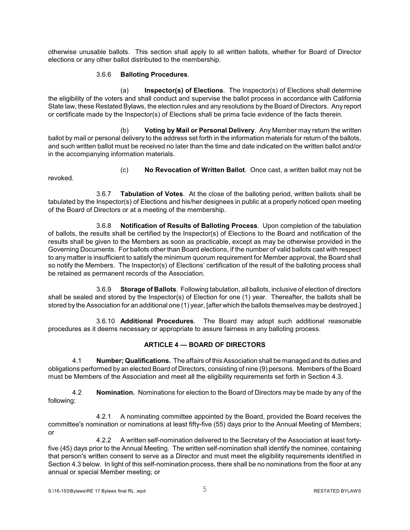otherwise unusable ballots. This section shall apply to all written ballots, whether for Board of Director elections or any other ballot distributed to the membership.

#### 3.6.6 **Balloting Procedures**.

(a) **Inspector(s) of Elections**. The Inspector(s) of Elections shall determine the eligibility of the voters and shall conduct and supervise the ballot process in accordance with California State law, these Restated Bylaws, the election rules and any resolutions by the Board of Directors. Any report or certificate made by the Inspector(s) of Elections shall be prima facie evidence of the facts therein.

(b) **Voting by Mail or Personal Delivery**. Any Member may return the written ballot by mail or personal delivery to the address set forth in the information materials for return of the ballots, and such written ballot must be received no later than the time and date indicated on the written ballot and/or in the accompanying information materials.

(c) **No Revocation of Written Ballot**. Once cast, a written ballot may not be

3.6.7 **Tabulation of Votes**. At the close of the balloting period, written ballots shall be tabulated by the Inspector(s) of Elections and his/her designees in public at a properly noticed open meeting of the Board of Directors or at a meeting of the membership.

3.6.8 **Notification of Results of Balloting Process**. Upon completion of the tabulation of ballots, the results shall be certified by the Inspector(s) of Elections to the Board and notification of the results shall be given to the Members as soon as practicable, except as may be otherwise provided in the Governing Documents. For ballots other than Board elections, if the number of valid ballots cast with respect to any matter is insufficient to satisfy the minimum quorum requirement for Member approval, the Board shall so notify the Members. The Inspector(s) of Elections' certification of the result of the balloting process shall be retained as permanent records of the Association.

3.6.9 **Storage of Ballots**. Following tabulation, all ballots, inclusive of election of directors shall be sealed and stored by the Inspector(s) of Election for one (1) year. Thereafter, the ballots shall be stored by the Association for an additional one (1) year, [after which the ballots themselves maybe destroyed.]

3.6.10 **Additional Procedures**. The Board may adopt such additional reasonable procedures as it deems necessary or appropriate to assure fairness in any balloting process.

#### **ARTICLE 4 — BOARD OF DIRECTORS**

4.1 **Number; Qualifications.** The affairs of this Association shall be managed and its duties and obligations performed by an elected Board of Directors, consisting of nine (9) persons. Members of the Board must be Members of the Association and meet all the eligibility requirements set forth in Section 4.3.

4.2 **Nomination.** Nominations for election to the Board of Directors may be made by any of the following:

4.2.1 A nominating committee appointed by the Board, provided the Board receives the committee's nomination or nominations at least fifty-five (55) days prior to the Annual Meeting of Members; or

4.2.2 A written self-nomination delivered to the Secretary of the Association at least fortyfive (45) days prior to the Annual Meeting. The written self-nomination shall identify the nominee, containing that person's written consent to serve as a Director and must meet the eligibility requirements identified in Section 4.3 below. In light of this self-nomination process, there shall be no nominations from the floor at any annual or special Member meeting; or

revoked.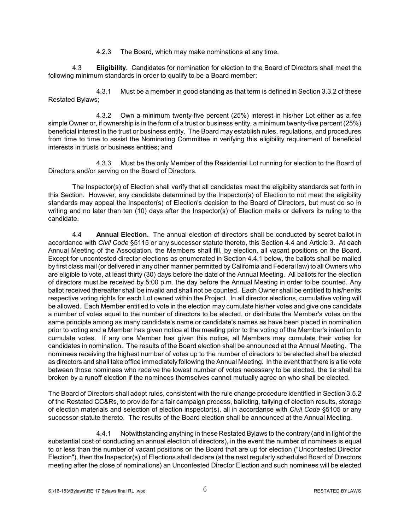4.2.3 The Board, which may make nominations at any time.

4.3 **Eligibility.** Candidates for nomination for election to the Board of Directors shall meet the following minimum standards in order to qualify to be a Board member:

4.3.1 Must be a member in good standing as that term is defined in Section 3.3.2 of these Restated Bylaws;

4.3.2 Own a minimum twenty-five percent (25%) interest in his/her Lot either as a fee simple Owner or, if ownership is in the form of a trust or business entity, a minimum twenty-five percent (25%) beneficial interest in the trust or business entity. The Board may establish rules, regulations, and procedures from time to time to assist the Nominating Committee in verifying this eligibility requirement of beneficial interests in trusts or business entities; and

4.3.3 Must be the only Member of the Residential Lot running for election to the Board of Directors and/or serving on the Board of Directors.

The Inspector(s) of Election shall verify that all candidates meet the eligibility standards set forth in this Section. However, any candidate determined by the Inspector(s) of Election to not meet the eligibility standards may appeal the Inspector(s) of Election's decision to the Board of Directors, but must do so in writing and no later than ten (10) days after the Inspector(s) of Election mails or delivers its ruling to the candidate.

4.4 **Annual Election.** The annual election of directors shall be conducted by secret ballot in accordance with *Civil Code* §5115 or any successor statute thereto, this Section 4.4 and Article 3. At each Annual Meeting of the Association, the Members shall fill, by election, all vacant positions on the Board. Except for uncontested director elections as enumerated in Section 4.4.1 below, the ballots shall be mailed by first class mail (or delivered in any other manner permitted by California and Federal law) to all Owners who are eligible to vote, at least thirty (30) days before the date of the Annual Meeting. All ballots for the election of directors must be received by 5:00 p.m. the day before the Annual Meeting in order to be counted. Any ballot received thereafter shall be invalid and shall not be counted. Each Owner shall be entitled to his/her/its respective voting rights for each Lot owned within the Project. In all director elections, cumulative voting will be allowed. Each Member entitled to vote in the election may cumulate his/her votes and give one candidate a number of votes equal to the number of directors to be elected, or distribute the Member's votes on the same principle among as many candidate's name or candidate's names as have been placed in nomination prior to voting and a Member has given notice at the meeting prior to the voting of the Member's intention to cumulate votes. If any one Member has given this notice, all Members may cumulate their votes for candidates in nomination. The results of the Board election shall be announced at the Annual Meeting. The nominees receiving the highest number of votes up to the number of directors to be elected shall be elected as directors and shall take office immediately following the Annual Meeting. In the event that there is a tie vote between those nominees who receive the lowest number of votes necessary to be elected, the tie shall be broken by a runoff election if the nominees themselves cannot mutually agree on who shall be elected.

The Board of Directors shall adopt rules, consistent with the rule change procedure identified in Section 3.5.2 of the Restated CC&Rs, to provide for a fair campaign process, balloting, tallying of election results, storage of election materials and selection of election inspector(s), all in accordance with *Civil Code* §5105 or any successor statute thereto. The results of the Board election shall be announced at the Annual Meeting.

4.4.1 Notwithstanding anything in these Restated Bylaws to the contrary (and in light of the substantial cost of conducting an annual election of directors), in the event the number of nominees is equal to or less than the number of vacant positions on the Board that are up for election ("Uncontested Director Election"), then the Inspector(s) of Elections shall declare (at the next regularly scheduled Board of Directors meeting after the close of nominations) an Uncontested Director Election and such nominees will be elected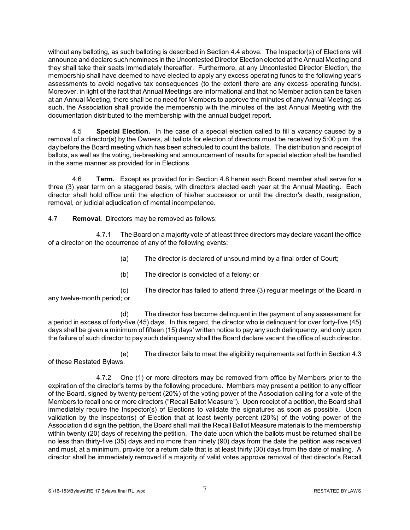without any balloting, as such balloting is described in Section 4.4 above. The Inspector(s) of Elections will announce and declare such nominees in the Uncontested Director Election elected at the Annual Meeting and they shall take their seats immediately thereafter. Furthermore, at any Uncontested Director Election, the membership shall have deemed to have elected to apply any excess operating funds to the following year's assessments to avoid negative tax consequences (to the extent there are any excess operating funds). Moreover, in light of the fact that Annual Meetings are informational and that no Member action can be taken at an Annual Meeting, there shall be no need for Members to approve the minutes of any Annual Meeting; as such, the Association shall provide the membership with the minutes of the last Annual Meeting with the documentation distributed to the membership with the annual budget report.

4.5 **Special Election.** In the case of a special election called to fill a vacancy caused by a removal of a director(s) by the Owners, all ballots for election of directors must be received by 5:00 p.m. the day before the Board meeting which has been scheduled to count the ballots. The distribution and receipt of ballots, as well as the voting, tie-breaking and announcement of results for special election shall be handled in the same manner as provided for in Elections.

4.6 **Term.** Except as provided for in Section 4.8 herein each Board member shall serve for a three (3) year term on a staggered basis, with directors elected each year at the Annual Meeting. Each director shall hold office until the election of his/her successor or until the director's death, resignation, removal, or judicial adjudication of mental incompetence.

4.7 **Removal.** Directors may be removed as follows:

4.7.1 The Board on a majority vote of at least three directors may declare vacant the office of a director on the occurrence of any of the following events:

(a) The director is declared of unsound mind by a final order of Court;

(b) The director is convicted of a felony; or

(c) The director has failed to attend three (3) regular meetings of the Board in any twelve-month period; or

(d) The director has become delinquent in the payment of any assessment for a period in excess of forty-five (45) days. In this regard, the director who is delinquent for over forty-five (45) days shall be given a minimum of fifteen (15) days' written notice to pay any such delinquency, and only upon the failure of such director to pay such delinquency shall the Board declare vacant the office of such director.

(e) The director fails to meet the eligibility requirements set forth in Section 4.3 of these Restated Bylaws.

4.7.2 One (1) or more directors may be removed from office by Members prior to the expiration of the director's terms by the following procedure. Members may present a petition to any officer of the Board, signed by twenty percent (20%) of the voting power of the Association calling for a vote of the Members to recall one or more directors ("Recall Ballot Measure"). Upon receipt of a petition, the Board shall immediately require the Inspector(s) of Elections to validate the signatures as soon as possible. Upon validation by the Inspector(s) of Election that at least twenty percent (20%) of the voting power of the Association did sign the petition, the Board shall mail the Recall Ballot Measure materials to the membership within twenty (20) days of receiving the petition. The date upon which the ballots must be returned shall be no less than thirty-five (35) days and no more than ninety (90) days from the date the petition was received and must, at a minimum, provide for a return date that is at least thirty (30) days from the date of mailing. A director shall be immediately removed if a majority of valid votes approve removal of that director's Recall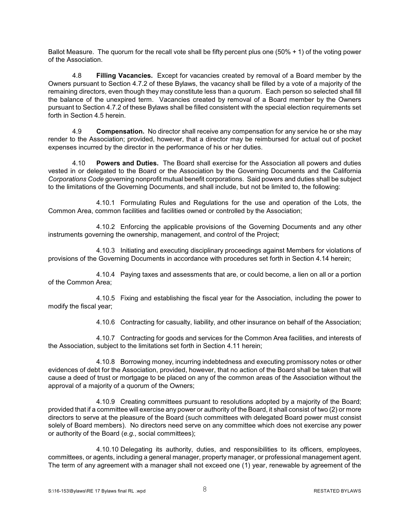Ballot Measure. The quorum for the recall vote shall be fifty percent plus one (50% + 1) of the voting power of the Association.

4.8 **Filling Vacancies.** Except for vacancies created by removal of a Board member by the Owners pursuant to Section 4.7.2 of these Bylaws, the vacancy shall be filled by a vote of a majority of the remaining directors, even though they may constitute less than a quorum. Each person so selected shall fill the balance of the unexpired term. Vacancies created by removal of a Board member by the Owners pursuant to Section 4.7.2 of these Bylaws shall be filled consistent with the special election requirements set forth in Section 4.5 herein.

4.9 **Compensation.** No director shall receive any compensation for any service he or she may render to the Association; provided, however, that a director may be reimbursed for actual out of pocket expenses incurred by the director in the performance of his or her duties.

4.10 **Powers and Duties.** The Board shall exercise for the Association all powers and duties vested in or delegated to the Board or the Association by the Governing Documents and the California *Corporations Code* governing nonprofit mutual benefit corporations. Said powers and duties shall be subject to the limitations of the Governing Documents, and shall include, but not be limited to, the following:

4.10.1 Formulating Rules and Regulations for the use and operation of the Lots, the Common Area, common facilities and facilities owned or controlled by the Association;

4.10.2 Enforcing the applicable provisions of the Governing Documents and any other instruments governing the ownership, management, and control of the Project;

4.10.3 Initiating and executing disciplinary proceedings against Members for violations of provisions of the Governing Documents in accordance with procedures set forth in Section 4.14 herein;

4.10.4 Paying taxes and assessments that are, or could become, a lien on all or a portion of the Common Area;

4.10.5 Fixing and establishing the fiscal year for the Association, including the power to modify the fiscal year;

4.10.6 Contracting for casualty, liability, and other insurance on behalf of the Association;

4.10.7 Contracting for goods and services for the Common Area facilities, and interests of the Association, subject to the limitations set forth in Section 4.11 herein;

4.10.8 Borrowing money, incurring indebtedness and executing promissory notes or other evidences of debt for the Association, provided, however, that no action of the Board shall be taken that will cause a deed of trust or mortgage to be placed on any of the common areas of the Association without the approval of a majority of a quorum of the Owners;

4.10.9 Creating committees pursuant to resolutions adopted by a majority of the Board; provided that if a committee will exercise any power or authority of the Board, it shall consist of two (2) or more directors to serve at the pleasure of the Board (such committees with delegated Board power must consist solely of Board members). No directors need serve on any committee which does not exercise any power or authority of the Board (*e.g.*, social committees);

4.10.10 Delegating its authority, duties, and responsibilities to its officers, employees, committees, or agents, including a general manager, property manager, or professional management agent. The term of any agreement with a manager shall not exceed one (1) year, renewable by agreement of the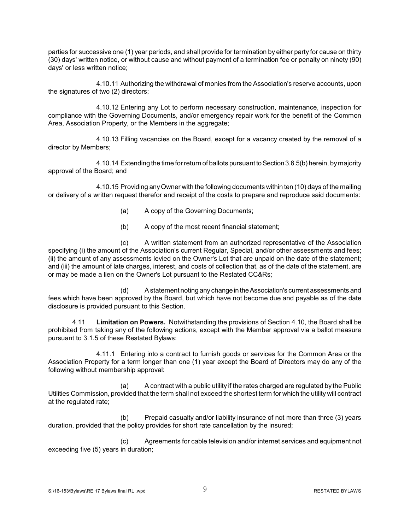parties for successive one (1) year periods, and shall provide for termination by either party for cause on thirty (30) days' written notice, or without cause and without payment of a termination fee or penalty on ninety (90) days' or less written notice;

4.10.11 Authorizing the withdrawal of monies from the Association's reserve accounts, upon the signatures of two (2) directors;

4.10.12 Entering any Lot to perform necessary construction, maintenance, inspection for compliance with the Governing Documents, and/or emergency repair work for the benefit of the Common Area, Association Property, or the Members in the aggregate;

4.10.13 Filling vacancies on the Board, except for a vacancy created by the removal of a director by Members;

4.10.14 Extending the time for return of ballots pursuant to Section 3.6.5(b) herein, by majority approval of the Board; and

4.10.15 Providing anyOwner with the following documents within ten (10) days of the mailing or delivery of a written request therefor and receipt of the costs to prepare and reproduce said documents:

- (a) A copy of the Governing Documents;
- (b) A copy of the most recent financial statement;

(c) A written statement from an authorized representative of the Association specifying (i) the amount of the Association's current Regular, Special, and/or other assessments and fees; (ii) the amount of any assessments levied on the Owner's Lot that are unpaid on the date of the statement; and (iii) the amount of late charges, interest, and costs of collection that, as of the date of the statement, are or may be made a lien on the Owner's Lot pursuant to the Restated CC&Rs;

(d) A statement noting anychange in theAssociation's current assessments and fees which have been approved by the Board, but which have not become due and payable as of the date disclosure is provided pursuant to this Section.

4.11 **Limitation on Powers.** Notwithstanding the provisions of Section 4.10, the Board shall be prohibited from taking any of the following actions, except with the Member approval via a ballot measure pursuant to 3.1.5 of these Restated Bylaws:

4.11.1 Entering into a contract to furnish goods or services for the Common Area or the Association Property for a term longer than one (1) year except the Board of Directors may do any of the following without membership approval:

(a) A contract with a public utility if the rates charged are regulated by the Public Utilities Commission, provided that the term shall not exceed the shortest term for which the utility will contract at the regulated rate;

(b) Prepaid casualty and/or liability insurance of not more than three (3) years duration, provided that the policy provides for short rate cancellation by the insured;

(c) Agreements for cable television and/or internet services and equipment not exceeding five (5) years in duration;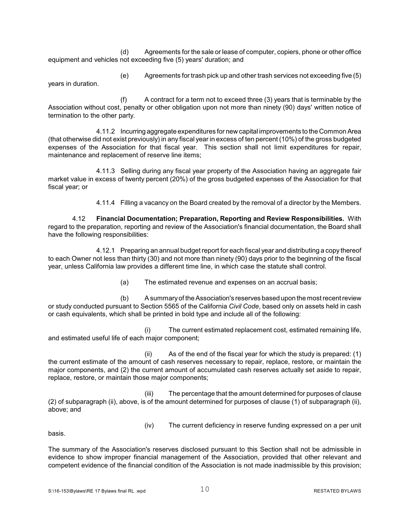(d) Agreements for the sale or lease of computer, copiers, phone or other office equipment and vehicles not exceeding five (5) years' duration; and

(e) Agreements for trash pick up and other trash services not exceeding five (5) years in duration.

(f) A contract for a term not to exceed three (3) years that is terminable by the Association without cost, penalty or other obligation upon not more than ninety (90) days' written notice of termination to the other party.

4.11.2 Incurring aggregate expenditures for newcapital improvements to the Common Area (that otherwise did not exist previously) in any fiscal year in excess of ten percent (10%) of the gross budgeted expenses of the Association for that fiscal year. This section shall not limit expenditures for repair, maintenance and replacement of reserve line items;

4.11.3 Selling during any fiscal year property of the Association having an aggregate fair market value in excess of twenty percent (20%) of the gross budgeted expenses of the Association for that fiscal year; or

4.11.4 Filling a vacancy on the Board created by the removal of a director by the Members.

4.12 **Financial Documentation; Preparation, Reporting and Review Responsibilities.** With regard to the preparation, reporting and review of the Association's financial documentation, the Board shall have the following responsibilities:

4.12.1 Preparing an annual budget report for each fiscal year and distributing a copy thereof to each Owner not less than thirty (30) and not more than ninety (90) days prior to the beginning of the fiscal year, unless California law provides a different time line, in which case the statute shall control.

(a) The estimated revenue and expenses on an accrual basis;

(b) A summaryof the Association's reserves based upon the most recent review or study conducted pursuant to Section 5565 of the California *Civil Code*, based only on assets held in cash or cash equivalents, which shall be printed in bold type and include all of the following:

(i) The current estimated replacement cost, estimated remaining life, and estimated useful life of each major component;

(ii) As of the end of the fiscal year for which the study is prepared: (1) the current estimate of the amount of cash reserves necessary to repair, replace, restore, or maintain the major components, and (2) the current amount of accumulated cash reserves actually set aside to repair, replace, restore, or maintain those major components;

(iii) The percentage that the amount determined for purposes of clause (2) of subparagraph (ii), above, is of the amount determined for purposes of clause (1) of subparagraph (ii), above; and

(iv) The current deficiency in reserve funding expressed on a per unit

basis.

The summary of the Association's reserves disclosed pursuant to this Section shall not be admissible in evidence to show improper financial management of the Association, provided that other relevant and competent evidence of the financial condition of the Association is not made inadmissible by this provision;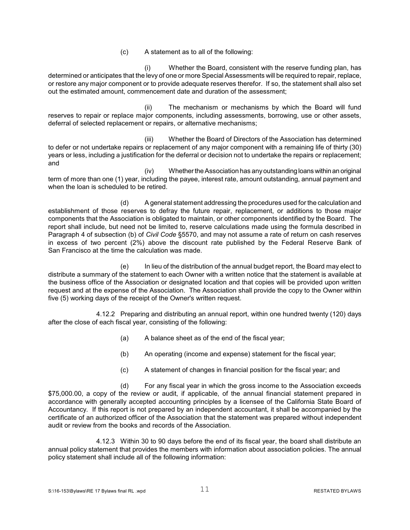(c) A statement as to all of the following:

(i) Whether the Board, consistent with the reserve funding plan, has determined or anticipates that the levy of one or more Special Assessments will be required to repair, replace, or restore any major component or to provide adequate reserves therefor. If so, the statement shall also set out the estimated amount, commencement date and duration of the assessment;

(ii) The mechanism or mechanisms by which the Board will fund reserves to repair or replace major components, including assessments, borrowing, use or other assets, deferral of selected replacement or repairs, or alternative mechanisms;

(iii) Whether the Board of Directors of the Association has determined to defer or not undertake repairs or replacement of any major component with a remaining life of thirty (30) years or less, including a justification for the deferral or decision not to undertake the repairs or replacement; and

(iv) WhethertheAssociation has anyoutstanding loans withinan original term of more than one (1) year, including the payee, interest rate, amount outstanding, annual payment and when the loan is scheduled to be retired.

(d) A general statement addressing the procedures used for the calculation and establishment of those reserves to defray the future repair, replacement, or additions to those major components that the Association is obligated to maintain, or other components identified by the Board. The report shall include, but need not be limited to, reserve calculations made using the formula described in Paragraph 4 of subsection (b) of *Civil Code* §5570, and may not assume a rate of return on cash reserves in excess of two percent (2%) above the discount rate published by the Federal Reserve Bank of San Francisco at the time the calculation was made.

(e) In lieu of the distribution of the annual budget report, the Board may elect to distribute a summary of the statement to each Owner with a written notice that the statement is available at the business office of the Association or designated location and that copies will be provided upon written request and at the expense of the Association. The Association shall provide the copy to the Owner within five (5) working days of the receipt of the Owner's written request.

4.12.2 Preparing and distributing an annual report, within one hundred twenty (120) days after the close of each fiscal year, consisting of the following:

- (a) A balance sheet as of the end of the fiscal year;
- (b) An operating (income and expense) statement for the fiscal year;
- (c) A statement of changes in financial position for the fiscal year; and

(d) For any fiscal year in which the gross income to the Association exceeds \$75,000.00, a copy of the review or audit, if applicable, of the annual financial statement prepared in accordance with generally accepted accounting principles by a licensee of the California State Board of Accountancy. If this report is not prepared by an independent accountant, it shall be accompanied by the certificate of an authorized officer of the Association that the statement was prepared without independent audit or review from the books and records of the Association.

4.12.3 Within 30 to 90 days before the end of its fiscal year, the board shall distribute an annual policy statement that provides the members with information about association policies. The annual policy statement shall include all of the following information: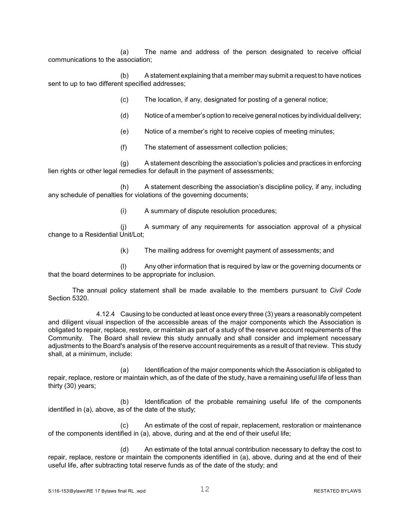(a) The name and address of the person designated to receive official communications to the association;

(b) A statement explaining that a member may submit a request to have notices sent to up to two different specified addresses;

(c) The location, if any, designated for posting of a general notice;

- (d) Notice of a member's option to receive general notices byindividual delivery;
- (e) Notice of a member's right to receive copies of meeting minutes;
- (f) The statement of assessment collection policies;

(g) A statement describing the association's policies and practices in enforcing lien rights or other legal remedies for default in the payment of assessments;

(h) A statement describing the association's discipline policy, if any, including any schedule of penalties for violations of the governing documents;

(i) A summary of dispute resolution procedures;

(j) A summary of any requirements for association approval of a physical change to a Residential Unit/Lot;

(k) The mailing address for overnight payment of assessments; and

(l) Any other information that is required by law or the governing documents or that the board determines to be appropriate for inclusion.

The annual policy statement shall be made available to the members pursuant to *Civil Code* Section 5320.

4.12.4 Causing to be conducted at least once every three (3) years a reasonably competent and diligent visual inspection of the accessible areas of the major components which the Association is obligated to repair, replace, restore, or maintain as part of a study of the reserve account requirements of the Community. The Board shall review this study annually and shall consider and implement necessary adjustments to the Board's analysis of the reserve account requirements as a result of that review. This study shall, at a minimum, include:

(a) Identification of the major components which the Association is obligated to repair, replace, restore or maintain which, as of the date of the study, have a remaining useful life of less than thirty (30) years;

(b) Identification of the probable remaining useful life of the components identified in (a), above, as of the date of the study;

(c) An estimate of the cost of repair, replacement, restoration or maintenance of the components identified in (a), above, during and at the end of their useful life;

(d) An estimate of the total annual contribution necessary to defray the cost to repair, replace, restore or maintain the components identified in (a), above, during and at the end of their useful life, after subtracting total reserve funds as of the date of the study; and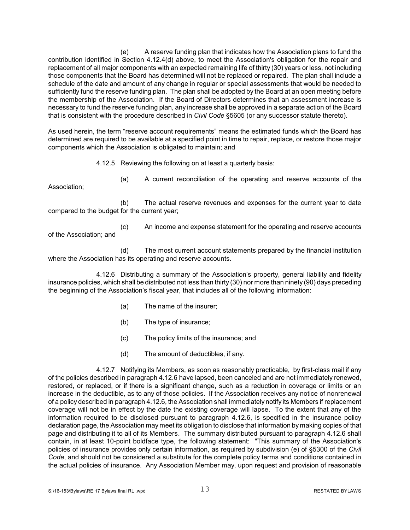(e) A reserve funding plan that indicates how the Association plans to fund the contribution identified in Section 4.12.4(d) above, to meet the Association's obligation for the repair and replacement of all major components with an expected remaining life of thirty (30) years or less, not including those components that the Board has determined will not be replaced or repaired. The plan shall include a schedule of the date and amount of any change in regular or special assessments that would be needed to sufficiently fund the reserve funding plan. The plan shall be adopted by the Board at an open meeting before the membership of the Association. If the Board of Directors determines that an assessment increase is necessary to fund the reserve funding plan, any increase shall be approved in a separate action of the Board that is consistent with the procedure described in *Civil Code* §5605 (or any successor statute thereto).

As used herein, the term "reserve account requirements" means the estimated funds which the Board has determined are required to be available at a specified point in time to repair, replace, or restore those major components which the Association is obligated to maintain; and

4.12.5 Reviewing the following on at least a quarterly basis:

Association;

(a) A current reconciliation of the operating and reserve accounts of the

(b) The actual reserve revenues and expenses for the current year to date compared to the budget for the current year;

of the Association; and

(c) An income and expense statement for the operating and reserve accounts

(d) The most current account statements prepared by the financial institution where the Association has its operating and reserve accounts.

4.12.6 Distributing a summary of the Association's property, general liability and fidelity insurance policies, which shall be distributed not less than thirty (30) nor more than ninety (90) days preceding the beginning of the Association's fiscal year, that includes all of the following information:

- (a) The name of the insurer;
- (b) The type of insurance;
- (c) The policy limits of the insurance; and
- (d) The amount of deductibles, if any.

4.12.7 Notifying its Members, as soon as reasonably practicable, by first-class mail if any of the policies described in paragraph 4.12.6 have lapsed, been canceled and are not immediately renewed, restored, or replaced, or if there is a significant change, such as a reduction in coverage or limits or an increase in the deductible, as to any of those policies. If the Association receives any notice of nonrenewal of a policy described in paragraph 4.12.6, the Association shall immediately notify its Members if replacement coverage will not be in effect by the date the existing coverage will lapse. To the extent that any of the information required to be disclosed pursuant to paragraph 4.12.6, is specified in the insurance policy declaration page, the Association may meet its obligation to disclose that information by making copies of that page and distributing it to all of its Members. The summary distributed pursuant to paragraph 4.12.6 shall contain, in at least 10-point boldface type, the following statement: "This summary of the Association's policies of insurance provides only certain information, as required by subdivision (e) of §5300 of the *Civil Code*, and should not be considered a substitute for the complete policy terms and conditions contained in the actual policies of insurance. Any Association Member may, upon request and provision of reasonable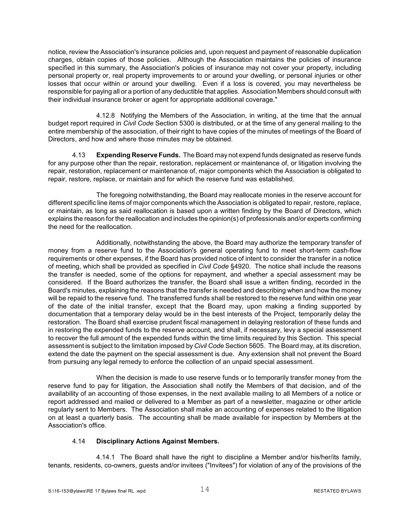notice, review the Association's insurance policies and, upon request and payment of reasonable duplication charges, obtain copies of those policies. Although the Association maintains the policies of insurance specified in this summary, the Association's policies of insurance may not cover your property, including personal property or, real property improvements to or around your dwelling, or personal injuries or other losses that occur within or around your dwelling. Even if a loss is covered, you may nevertheless be responsible for paying all or a portion of any deductible that applies. Association Members should consult with their individual insurance broker or agent for appropriate additional coverage."

4.12.8 Notifying the Members of the Association, in writing, at the time that the annual budget report required in *Civil Code* Section 5300 is distributed, or at the time of any general mailing to the entire membership of the association, of their right to have copies of the minutes of meetings of the Board of Directors, and how and where those minutes may be obtained.

4.13 **Expending Reserve Funds.** The Board may not expend funds designated as reserve funds for any purpose other than the repair, restoration, replacement or maintenance of, or litigation involving the repair, restoration, replacement or maintenance of, major components which the Association is obligated to repair, restore, replace, or maintain and for which the reserve fund was established.

The foregoing notwithstanding, the Board may reallocate monies in the reserve account for different specific line items of major components which the Association is obligated to repair, restore, replace, or maintain, as long as said reallocation is based upon a written finding by the Board of Directors, which explains the reason for the reallocation and includes the opinion(s) of professionals and/or experts confirming the need for the reallocation.

Additionally, notwithstanding the above, the Board may authorize the temporary transfer of money from a reserve fund to the Association's general operating fund to meet short-term cash-flow requirements or other expenses, if the Board has provided notice of intent to consider the transfer in a notice of meeting, which shall be provided as specified in *Civil Code* §4920. The notice shall include the reasons the transfer is needed, some of the options for repayment, and whether a special assessment may be considered. If the Board authorizes the transfer, the Board shall issue a written finding, recorded in the Board's minutes, explaining the reasons that the transfer is needed and describing when and how the money will be repaid to the reserve fund. The transferred funds shall be restored to the reserve fund within one year of the date of the initial transfer, except that the Board may, upon making a finding supported by documentation that a temporary delay would be in the best interests of the Project, temporarily delay the restoration. The Board shall exercise prudent fiscal management in delaying restoration of these funds and in restoring the expended funds to the reserve account, and shall, if necessary, levy a special assessment to recover the full amount of the expended funds within the time limits required by this Section. This special assessment is subject to the limitation imposed by *Civil Code* Section 5605. The Board may, at its discretion, extend the date the payment on the special assessment is due. Any extension shall not prevent the Board from pursuing any legal remedy to enforce the collection of an unpaid special assessment.

When the decision is made to use reserve funds or to temporarily transfer money from the reserve fund to pay for litigation, the Association shall notify the Members of that decision, and of the availability of an accounting of those expenses, in the next available mailing to all Members of a notice or report addressed and mailed or delivered to a Member as part of a newsletter, magazine or other article regularly sent to Members. The Association shall make an accounting of expenses related to the litigation on at least a quarterly basis. The accounting shall be made available for inspection by Members at the Association's office.

#### 4.14 **Disciplinary Actions Against Members.**

4.14.1 The Board shall have the right to discipline a Member and/or his/her/its family, tenants, residents, co-owners, guests and/or invitees ("Invitees") for violation of any of the provisions of the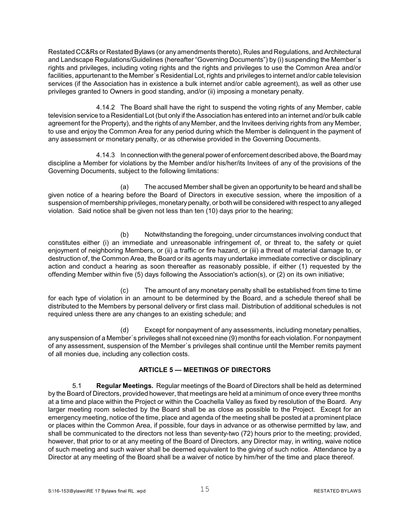Restated CC&Rs or Restated Bylaws (or any amendments thereto), Rules and Regulations, and Architectural and Landscape Regulations/Guidelines (hereafter "Governing Documents") by (i) suspending the Member's rights and privileges, including voting rights and the rights and privileges to use the Common Area and/or facilities, appurtenant to the Member's Residential Lot, rights and privileges to internet and/or cable television services (if the Association has in existence a bulk internet and/or cable agreement), as well as other use privileges granted to Owners in good standing, and/or (ii) imposing a monetary penalty.

4.14.2 The Board shall have the right to suspend the voting rights of any Member, cable television service to a Residential Lot (but only if the Association has entered into an internet and/or bulk cable agreement for the Property), and the rights of any Member, and the Invitees deriving rights from any Member, to use and enjoy the Common Area for any period during which the Member is delinquent in the payment of any assessment or monetary penalty, or as otherwise provided in the Governing Documents.

4.14.3 In connection with the general power of enforcement described above, the Board may discipline a Member for violations by the Member and/or his/her/its Invitees of any of the provisions of the Governing Documents, subject to the following limitations:

(a) The accused Member shall be given an opportunity to be heard and shall be given notice of a hearing before the Board of Directors in executive session, where the imposition of a suspension of membership privileges, monetary penalty, or both will be considered with respect to anyalleged violation. Said notice shall be given not less than ten (10) days prior to the hearing;

(b) Notwithstanding the foregoing, under circumstances involving conduct that constitutes either (i) an immediate and unreasonable infringement of, or threat to, the safety or quiet enjoyment of neighboring Members, or (ii) a traffic or fire hazard, or (iii) a threat of material damage to, or destruction of, the Common Area, the Board or its agents may undertake immediate corrective or disciplinary action and conduct a hearing as soon thereafter as reasonably possible, if either (1) requested by the offending Member within five (5) days following the Association's action(s), or (2) on its own initiative;

(c) The amount of any monetary penalty shall be established from time to time for each type of violation in an amount to be determined by the Board, and a schedule thereof shall be distributed to the Members by personal delivery or first class mail. Distribution of additional schedules is not required unless there are any changes to an existing schedule; and

(d) Except for nonpayment of any assessments, including monetary penalties, any suspension of a Member's privileges shall not exceed nine (9) months for each violation. For nonpayment of any assessment, suspension of the Member's privileges shall continue until the Member remits payment of all monies due, including any collection costs.

### **ARTICLE 5 — MEETINGS OF DIRECTORS**

5.1 **Regular Meetings.** Regular meetings of the Board of Directors shall be held as determined by the Board of Directors, provided however, that meetings are held at a minimum of once every three months at a time and place within the Project or within the Coachella Valley as fixed by resolution of the Board. Any larger meeting room selected by the Board shall be as close as possible to the Project. Except for an emergency meeting, notice of the time, place and agenda of the meeting shall be posted at a prominent place or places within the Common Area, if possible, four days in advance or as otherwise permitted by law, and shall be communicated to the directors not less than seventy-two (72) hours prior to the meeting; provided, however, that prior to or at any meeting of the Board of Directors, any Director may, in writing, waive notice of such meeting and such waiver shall be deemed equivalent to the giving of such notice. Attendance by a Director at any meeting of the Board shall be a waiver of notice by him/her of the time and place thereof.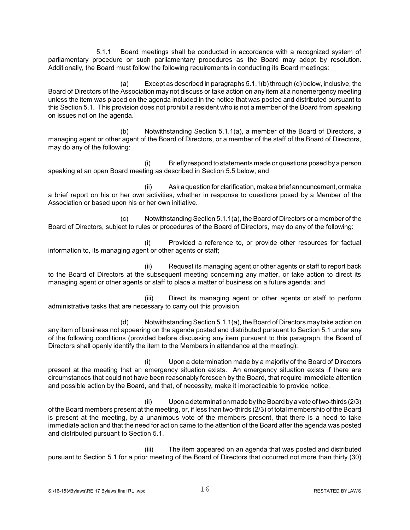5.1.1 Board meetings shall be conducted in accordance with a recognized system of parliamentary procedure or such parliamentary procedures as the Board may adopt by resolution. Additionally, the Board must follow the following requirements in conducting its Board meetings:

(a) Except as described in paragraphs 5.1.1(b) through (d) below, inclusive, the Board of Directors of the Association may not discuss or take action on any item at a nonemergency meeting unless the item was placed on the agenda included in the notice that was posted and distributed pursuant to this Section 5.1. This provision does not prohibit a resident who is not a member of the Board from speaking on issues not on the agenda.

(b) Notwithstanding Section 5.1.1(a), a member of the Board of Directors, a managing agent or other agent of the Board of Directors, or a member of the staff of the Board of Directors, may do any of the following:

(i) Briefly respond to statements made or questions posed by a person speaking at an open Board meeting as described in Section 5.5 below; and

(ii) Ask a question for clarification, makeabrief announcement, or make a brief report on his or her own activities, whether in response to questions posed by a Member of the Association or based upon his or her own initiative.

(c) Notwithstanding Section 5.1.1(a), the Board of Directors or a member of the Board of Directors, subject to rules or procedures of the Board of Directors, may do any of the following:

(i) Provided a reference to, or provide other resources for factual information to, its managing agent or other agents or staff;

(ii) Request its managing agent or other agents or staff to report back to the Board of Directors at the subsequent meeting concerning any matter, or take action to direct its managing agent or other agents or staff to place a matter of business on a future agenda; and

(iii) Direct its managing agent or other agents or staff to perform administrative tasks that are necessary to carry out this provision.

(d) Notwithstanding Section 5.1.1(a), the Board of Directors may take action on any item of business not appearing on the agenda posted and distributed pursuant to Section 5.1 under any of the following conditions (provided before discussing any item pursuant to this paragraph, the Board of Directors shall openly identify the item to the Members in attendance at the meeting):

(i) Upon a determination made by a majority of the Board of Directors present at the meeting that an emergency situation exists. An emergency situation exists if there are circumstances that could not have been reasonably foreseen by the Board, that require immediate attention and possible action by the Board, and that, of necessity, make it impracticable to provide notice.

(ii) Upon a determination made bythe Board bya vote of two-thirds (2/3) of the Board members present at the meeting, or, if less than two-thirds (2/3) of total membership of the Board is present at the meeting, by a unanimous vote of the members present, that there is a need to take immediate action and that the need for action came to the attention of the Board after the agenda was posted and distributed pursuant to Section 5.1.

(iii) The item appeared on an agenda that was posted and distributed pursuant to Section 5.1 for a prior meeting of the Board of Directors that occurred not more than thirty (30)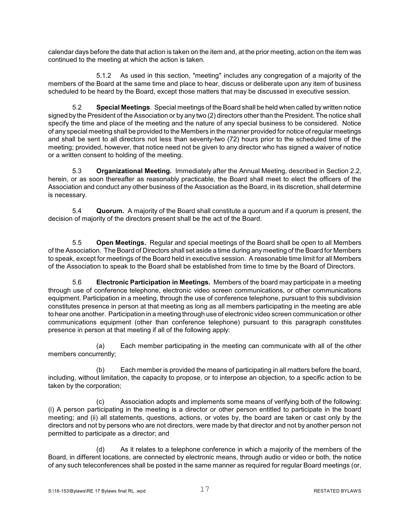calendar days before the date that action is taken on the item and, at the prior meeting, action on the item was continued to the meeting at which the action is taken.

5.1.2 As used in this section, "meeting" includes any congregation of a majority of the members of the Board at the same time and place to hear, discuss or deliberate upon any item of business scheduled to be heard by the Board, except those matters that may be discussed in executive session.

5.2 **Special Meetings**. Special meetings of the Board shall be held when called by written notice signed by the President of the Association or by any two (2) directors other than the President. The notice shall specify the time and place of the meeting and the nature of any special business to be considered. Notice of any special meeting shall be provided to the Members in the manner provided for notice of regular meetings and shall be sent to all directors not less than seventy-two (72) hours prior to the scheduled time of the meeting; provided, however, that notice need not be given to any director who has signed a waiver of notice or a written consent to holding of the meeting.

5.3 **Organizational Meeting.** Immediately after the Annual Meeting, described in Section 2.2, herein, or as soon thereafter as reasonably practicable, the Board shall meet to elect the officers of the Association and conduct any other business of the Association as the Board, in its discretion, shall determine is necessary.

5.4 **Quorum.** A majority of the Board shall constitute a quorum and if a quorum is present, the decision of majority of the directors present shall be the act of the Board.

5.5 **Open Meetings.** Regular and special meetings of the Board shall be open to all Members of the Association. The Board of Directors shall set aside a time during any meeting of the Board for Members to speak, except for meetings of the Board held in executive session. A reasonable time limit for all Members of the Association to speak to the Board shall be established from time to time by the Board of Directors.

5.6 **Electronic Participation in Meetings.** Members of the board may participate in a meeting through use of conference telephone, electronic video screen communications, or other communications equipment. Participation in a meeting, through the use of conference telephone, pursuant to this subdivision constitutes presence in person at that meeting as long as all members participating in the meeting are able to hear one another. Participation in a meeting through use of electronic video screen communication or other communications equipment (other than conference telephone) pursuant to this paragraph constitutes presence in person at that meeting if all of the following apply:

(a) Each member participating in the meeting can communicate with all of the other members concurrently;

(b) Each member is provided the means of participating in all matters before the board, including, without limitation, the capacity to propose, or to interpose an objection, to a specific action to be taken by the corporation;

(c) Association adopts and implements some means of verifying both of the following: (i) A person participating in the meeting is a director or other person entitled to participate in the board meeting; and (ii) all statements, questions, actions, or votes by, the board are taken or cast only by the directors and not by persons who are not directors, were made by that director and not by another person not permitted to participate as a director; and

(d) As it relates to a telephone conference in which a majority of the members of the Board, in different locations, are connected by electronic means, through audio or video or both, the notice of any such teleconferences shall be posted in the same manner as required for regular Board meetings (or,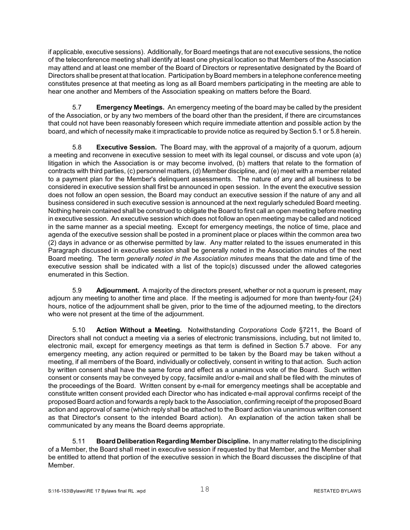if applicable, executive sessions). Additionally, for Board meetings that are not executive sessions, the notice of the teleconference meeting shall identify at least one physical location so that Members of the Association may attend and at least one member of the Board of Directors or representative designated by the Board of Directors shall be present at that location. Participation by Board members in a telephone conference meeting constitutes presence at that meeting as long as all Board members participating in the meeting are able to hear one another and Members of the Association speaking on matters before the Board.

5.7 **Emergency Meetings.** An emergency meeting of the board may be called by the president of the Association, or by any two members of the board other than the president, if there are circumstances that could not have been reasonably foreseen which require immediate attention and possible action by the board, and which of necessity make it impracticable to provide notice as required by Section 5.1 or 5.8 herein.

5.8 **Executive Session.** The Board may, with the approval of a majority of a quorum, adjourn a meeting and reconvene in executive session to meet with its legal counsel, or discuss and vote upon (a) litigation in which the Association is or may become involved, (b) matters that relate to the formation of contracts with third parties, (c) personnel matters, (d) Member discipline, and (e) meet with a member related to a payment plan for the Member's delinquent assessments. The nature of any and all business to be considered in executive session shall first be announced in open session. In the event the executive session does not follow an open session, the Board may conduct an executive session if the nature of any and all business considered in such executive session is announced at the next regularly scheduled Board meeting. Nothing herein contained shall be construed to obligate the Board to first call an open meeting before meeting in executive session. An executive session which does not follow an open meeting may be called and noticed in the same manner as a special meeting. Except for emergency meetings, the notice of time, place and agenda of the executive session shall be posted in a prominent place or places within the common area two (2) days in advance or as otherwise permitted by law. Any matter related to the issues enumerated in this Paragraph discussed in executive session shall be generally noted in the Association minutes of the next Board meeting. The term *generally noted in the Association minutes* means that the date and time of the executive session shall be indicated with a list of the topic(s) discussed under the allowed categories enumerated in this Section.

5.9 **Adjournment.** A majority of the directors present, whether or not a quorum is present, may adjourn any meeting to another time and place. If the meeting is adjourned for more than twenty-four (24) hours, notice of the adjournment shall be given, prior to the time of the adjourned meeting, to the directors who were not present at the time of the adjournment.

5.10 **Action Without a Meeting.** Notwithstanding *Corporations Code* §7211, the Board of Directors shall not conduct a meeting via a series of electronic transmissions, including, but not limited to, electronic mail, except for emergency meetings as that term is defined in Section 5.7 above. For any emergency meeting, any action required or permitted to be taken by the Board may be taken without a meeting, if all members of the Board, individually or collectively, consent in writing to that action. Such action by written consent shall have the same force and effect as a unanimous vote of the Board. Such written consent or consents may be conveyed by copy, facsimile and/or e-mail and shall be filed with the minutes of the proceedings of the Board. Written consent by e-mail for emergency meetings shall be acceptable and constitute written consent provided each Director who has indicated e-mail approval confirms receipt of the proposed Board action and forwards a reply back to the Association, confirming receipt of the proposed Board action and approval of same (which reply shall be attached to the Board action via unanimous written consent as that Director's consent to the intended Board action). An explanation of the action taken shall be communicated by any means the Board deems appropriate.

5.11 **Board Deliberation Regarding Member Discipline.** In anymatterrelating to the disciplining of a Member, the Board shall meet in executive session if requested by that Member, and the Member shall be entitled to attend that portion of the executive session in which the Board discusses the discipline of that Member.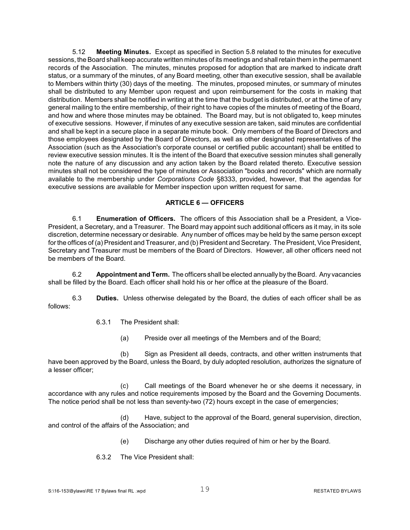5.12 **Meeting Minutes.** Except as specified in Section 5.8 related to the minutes for executive sessions, the Board shall keep accurate written minutes of its meetings and shall retain them in the permanent records of the Association. The minutes, minutes proposed for adoption that are marked to indicate draft status, or a summary of the minutes, of any Board meeting, other than executive session, shall be available to Members within thirty (30) days of the meeting. The minutes, proposed minutes, or summary of minutes shall be distributed to any Member upon request and upon reimbursement for the costs in making that distribution. Members shall be notified in writing at the time that the budget is distributed, or at the time of any general mailing to the entire membership, of their right to have copies of the minutes of meeting of the Board, and how and where those minutes may be obtained. The Board may, but is not obligated to, keep minutes of executive sessions. However, if minutes of any executive session are taken, said minutes are confidential and shall be kept in a secure place in a separate minute book. Only members of the Board of Directors and those employees designated by the Board of Directors, as well as other designated representatives of the Association (such as the Association's corporate counsel or certified public accountant) shall be entitled to review executive session minutes. It is the intent of the Board that executive session minutes shall generally note the nature of any discussion and any action taken by the Board related thereto. Executive session minutes shall not be considered the type of minutes or Association "books and records" which are normally available to the membership under *Corporations Code* §8333, provided, however, that the agendas for executive sessions are available for Member inspection upon written request for same.

#### **ARTICLE 6 — OFFICERS**

6.1 **Enumeration of Officers.** The officers of this Association shall be a President, a Vice-President, a Secretary, and a Treasurer. The Board may appoint such additional officers as it may, in its sole discretion, determine necessary or desirable. Any number of offices may be held by the same person except for the offices of (a) President and Treasurer, and (b) President and Secretary. The President, Vice President, Secretary and Treasurer must be members of the Board of Directors. However, all other officers need not be members of the Board.

6.2 **Appointment and Term.** The officers shall be elected annually by the Board. Any vacancies shall be filled by the Board. Each officer shall hold his or her office at the pleasure of the Board.

6.3 **Duties.** Unless otherwise delegated by the Board, the duties of each officer shall be as follows:

#### 6.3.1 The President shall:

(a) Preside over all meetings of the Members and of the Board;

(b) Sign as President all deeds, contracts, and other written instruments that have been approved by the Board, unless the Board, by duly adopted resolution, authorizes the signature of a lesser officer;

(c) Call meetings of the Board whenever he or she deems it necessary, in accordance with any rules and notice requirements imposed by the Board and the Governing Documents. The notice period shall be not less than seventy-two (72) hours except in the case of emergencies;

(d) Have, subject to the approval of the Board, general supervision, direction, and control of the affairs of the Association; and

- (e) Discharge any other duties required of him or her by the Board.
- 6.3.2 The Vice President shall: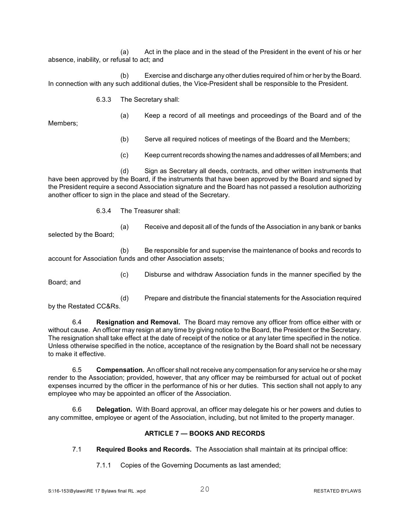(a) Act in the place and in the stead of the President in the event of his or her absence, inability, or refusal to act; and

(b) Exercise and discharge any other duties required of him or her by the Board. In connection with any such additional duties, the Vice-President shall be responsible to the President.

6.3.3 The Secretary shall:

Members;

- (a) Keep a record of all meetings and proceedings of the Board and of the
- (b) Serve all required notices of meetings of the Board and the Members;
- (c) Keep current records showing the names andaddresses of all Members; and

(d) Sign as Secretary all deeds, contracts, and other written instruments that have been approved by the Board, if the instruments that have been approved by the Board and signed by the President require a second Association signature and the Board has not passed a resolution authorizing another officer to sign in the place and stead of the Secretary.

6.3.4 The Treasurer shall:

(a) Receive and deposit all of the funds of the Association in any bank or banks selected by the Board;

(b) Be responsible for and supervise the maintenance of books and records to account for Association funds and other Association assets;

(c) Disburse and withdraw Association funds in the manner specified by the

Board; and

(d) Prepare and distribute the financial statements for the Association required by the Restated CC&Rs.

6.4 **Resignation and Removal.** The Board may remove any officer from office either with or without cause. An officer may resign at any time by giving notice to the Board, the President or the Secretary. The resignation shall take effect at the date of receipt of the notice or at any later time specified in the notice. Unless otherwise specified in the notice, acceptance of the resignation by the Board shall not be necessary to make it effective.

6.5 **Compensation.** An officer shall not receive any compensation for any service he or she may render to the Association; provided, however, that any officer may be reimbursed for actual out of pocket expenses incurred by the officer in the performance of his or her duties. This section shall not apply to any employee who may be appointed an officer of the Association.

6.6 **Delegation.** With Board approval, an officer may delegate his or her powers and duties to any committee, employee or agent of the Association, including, but not limited to the property manager.

#### **ARTICLE 7 — BOOKS AND RECORDS**

- 7.1 **Required Books and Records.** The Association shall maintain at its principal office:
	- 7.1.1 Copies of the Governing Documents as last amended;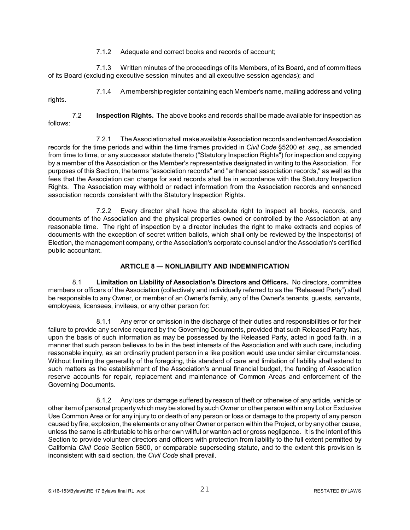7.1.2 Adequate and correct books and records of account;

7.1.3 Written minutes of the proceedings of its Members, of its Board, and of committees of its Board (excluding executive session minutes and all executive session agendas); and

7.1.4 A membership register containing each Member's name, mailing address and voting

7.2 **Inspection Rights.** The above books and records shall be made available for inspection as follows:

7.2.1 The Association shall make available Association records and enhanced Association records for the time periods and within the time frames provided in *Civil Code* §5200 *et. seq.*, as amended from time to time, or any successor statute thereto ("Statutory Inspection Rights") for inspection and copying by a member of the Association or the Member's representative designated in writing to the Association. For purposes of this Section, the terms "association records" and "enhanced association records," as well as the fees that the Association can charge for said records shall be in accordance with the Statutory Inspection Rights. The Association may withhold or redact information from the Association records and enhanced association records consistent with the Statutory Inspection Rights.

7.2.2 Every director shall have the absolute right to inspect all books, records, and documents of the Association and the physical properties owned or controlled by the Association at any reasonable time. The right of inspection by a director includes the right to make extracts and copies of documents with the exception of secret written ballots, which shall only be reviewed by the Inspector(s) of Election, the management company, or the Association's corporate counsel and/or the Association's certified public accountant.

#### **ARTICLE 8 — NONLIABILITY AND INDEMNIFICATION**

8.1 **Limitation on Liability of Association's Directors and Officers.** No directors, committee members or officers of the Association (collectively and individually referred to as the "Released Party") shall be responsible to any Owner, or member of an Owner's family, any of the Owner's tenants, guests, servants, employees, licensees, invitees, or any other person for:

8.1.1 Any error or omission in the discharge of their duties and responsibilities or for their failure to provide any service required by the Governing Documents, provided that such Released Party has, upon the basis of such information as may be possessed by the Released Party, acted in good faith, in a manner that such person believes to be in the best interests of the Association and with such care, including reasonable inquiry, as an ordinarily prudent person in a like position would use under similar circumstances. Without limiting the generality of the foregoing, this standard of care and limitation of liability shall extend to such matters as the establishment of the Association's annual financial budget, the funding of Association reserve accounts for repair, replacement and maintenance of Common Areas and enforcement of the Governing Documents.

8.1.2 Any loss or damage suffered by reason of theft or otherwise of any article, vehicle or other item of personal property which may be stored by such Owner or other person within any Lot or Exclusive Use Common Area or for any injury to or death of any person or loss or damage to the property of any person caused by fire, explosion, the elements or any other Owner or person within the Project, or by any other cause, unless the same is attributable to his or her own willful or wanton act or gross negligence. It is the intent of this Section to provide volunteer directors and officers with protection from liability to the full extent permitted by California *Civil Code* Section 5800, or comparable superseding statute, and to the extent this provision is inconsistent with said section, the *Civil Code* shall prevail.

rights.